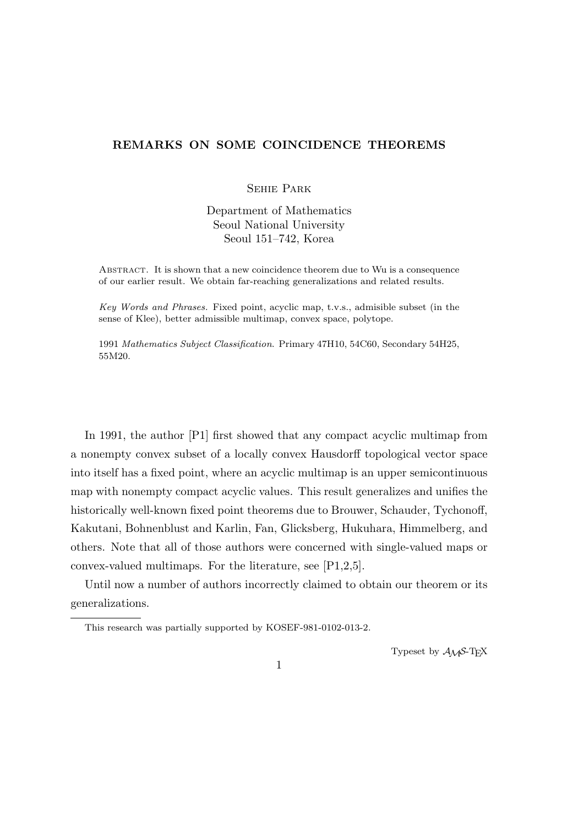## **REMARKS ON SOME COINCIDENCE THEOREMS**

## Sehie Park

Department of Mathematics Seoul National University Seoul 151–742, Korea

Abstract. It is shown that a new coincidence theorem due to Wu is a consequence of our earlier result. We obtain far-reaching generalizations and related results.

*Key Words and Phrases.* Fixed point, acyclic map, t.v.s., admisible subset (in the sense of Klee), better admissible multimap, convex space, polytope.

1991 *Mathematics Subject Classification*. Primary 47H10, 54C60, Secondary 54H25, 55M20.

In 1991, the author [P1] first showed that any compact acyclic multimap from a nonempty convex subset of a locally convex Hausdorff topological vector space into itself has a fixed point, where an acyclic multimap is an upper semicontinuous map with nonempty compact acyclic values. This result generalizes and unifies the historically well-known fixed point theorems due to Brouwer, Schauder, Tychonoff, Kakutani, Bohnenblust and Karlin, Fan, Glicksberg, Hukuhara, Himmelberg, and others. Note that all of those authors were concerned with single-valued maps or convex-valued multimaps. For the literature, see [P1,2,5].

Until now a number of authors incorrectly claimed to obtain our theorem or its generalizations.

Typeset by  $A_{\mathcal{M}}S$ -T<sub>E</sub>X

This research was partially supported by KOSEF-981-0102-013-2.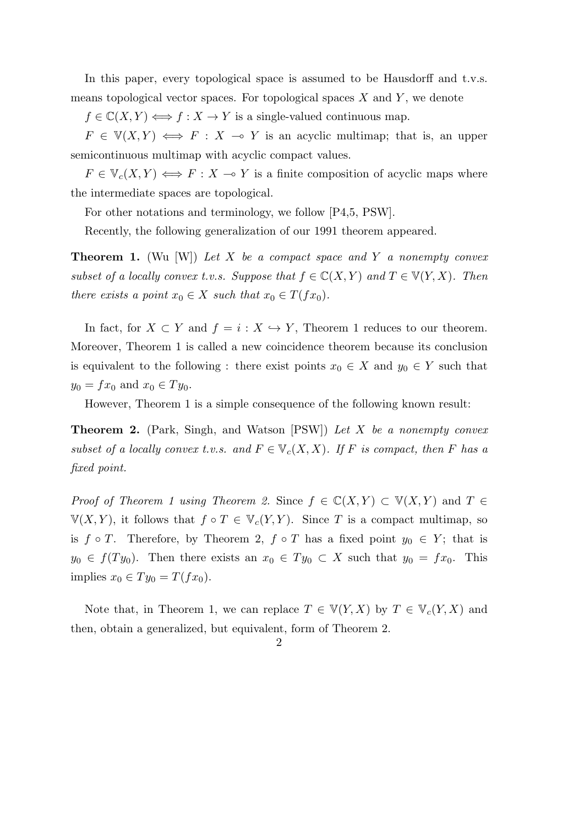In this paper, every topological space is assumed to be Hausdorff and t.v.s. means topological vector spaces. For topological spaces *X* and *Y* , we denote

 $f \in \mathbb{C}(X, Y) \Longleftrightarrow f : X \to Y$  is a single-valued continuous map.

 $F \in V(X,Y) \iff F: X \multimap Y$  is an acyclic multimap; that is, an upper semicontinuous multimap with acyclic compact values.

 $F \in V_c(X, Y) \iff F : X \to Y$  is a finite composition of acyclic maps where the intermediate spaces are topological.

For other notations and terminology, we follow [P4,5, PSW].

Recently, the following generalization of our 1991 theorem appeared.

**Theorem 1.** (Wu [W]) *Let X be a compact space and Y a nonempty convex subset of a locally convex t.v.s. Suppose that*  $f \in \mathbb{C}(X, Y)$  *and*  $T \in \mathbb{V}(Y, X)$ *. Then there exists a point*  $x_0 \in X$  *such that*  $x_0 \in T(fx_0)$ *.* 

In fact, for  $X \subset Y$  and  $f = i : X \hookrightarrow Y$ , Theorem 1 reduces to our theorem. Moreover, Theorem 1 is called a new coincidence theorem because its conclusion is equivalent to the following : there exist points  $x_0 \in X$  and  $y_0 \in Y$  such that  $y_0 = fx_0$  and  $x_0 \in Ty_0$ .

However, Theorem 1 is a simple consequence of the following known result:

**Theorem 2.** (Park, Singh, and Watson [PSW]) *Let X be a nonempty convex subset of a locally convex t.v.s. and*  $F \in V_c(X,X)$ *. If F is compact, then F has a fixed point.*

*Proof of Theorem 1 using Theorem 2.* Since  $f \in \mathbb{C}(X, Y) \subset \mathbb{V}(X, Y)$  and  $T \in$  $V(X, Y)$ , it follows that  $f \circ T \in V_c(Y, Y)$ . Since *T* is a compact multimap, so is  $f \circ T$ . Therefore, by Theorem 2,  $f \circ T$  has a fixed point  $y_0 \in Y$ ; that is  $y_0 \in f(Ty_0)$ . Then there exists an  $x_0 \in Ty_0 \subset X$  such that  $y_0 = fx_0$ . This implies  $x_0$  ∈  $Ty_0 = T(fx_0)$ .

Note that, in Theorem 1, we can replace  $T \in V(Y, X)$  by  $T \in V_c(Y, X)$  and then, obtain a generalized, but equivalent, form of Theorem 2.

2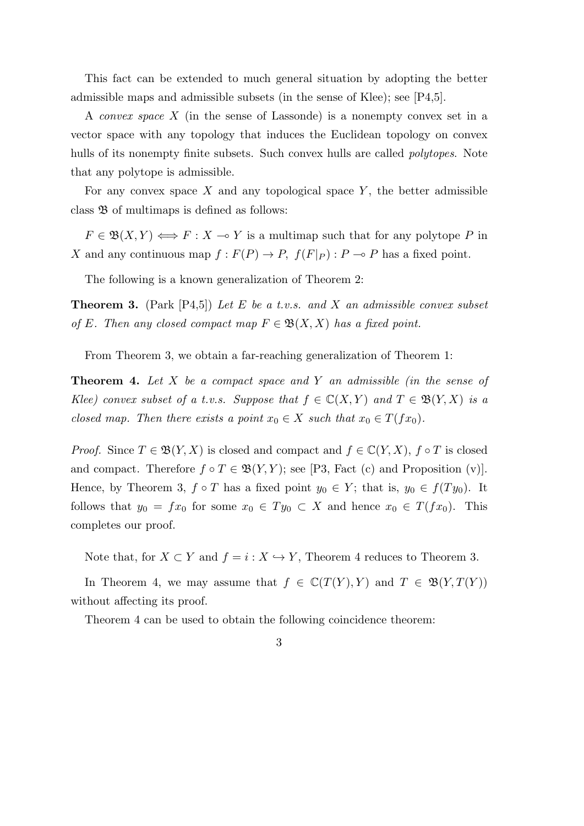This fact can be extended to much general situation by adopting the better admissible maps and admissible subsets (in the sense of Klee); see [P4,5].

A *convex space X* (in the sense of Lassonde) is a nonempty convex set in a vector space with any topology that induces the Euclidean topology on convex hulls of its nonempty finite subsets. Such convex hulls are called *polytopes*. Note that any polytope is admissible.

For any convex space *X* and any topological space *Y* , the better admissible class  $\mathfrak{B}$  of multimaps is defined as follows:

 $F \in \mathfrak{B}(X,Y) \Longleftrightarrow F : X \multimap Y$  is a multimap such that for any polytope *P* in *X* and any continuous map  $f: F(P) \to P$ ,  $f(F|_P): P \to P$  has a fixed point.

The following is a known generalization of Theorem 2:

**Theorem 3.** (Park [P4,5]) *Let E be a t.v.s. and X an admissible convex subset of E.* Then any closed compact map  $F \in \mathfrak{B}(X,X)$  has a fixed point.

From Theorem 3, we obtain a far-reaching generalization of Theorem 1:

**Theorem 4.** *Let X be a compact space and Y an admissible (in the sense of Klee)* convex subset of a t.v.s. Suppose that  $f \in \mathbb{C}(X, Y)$  and  $T \in \mathfrak{B}(Y, X)$  is a *closed map. Then there exists a point*  $x_0 \in X$  *such that*  $x_0 \in T(fx_0)$ *.* 

*Proof.* Since  $T \in \mathfrak{B}(Y,X)$  is closed and compact and  $f \in \mathbb{C}(Y,X)$ ,  $f \circ T$  is closed and compact. Therefore  $f \circ T \in \mathfrak{B}(Y, Y)$ ; see [P3, Fact (c) and Proposition (v)]. Hence, by Theorem 3,  $f \circ T$  has a fixed point  $y_0 \in Y$ ; that is,  $y_0 \in f(Ty_0)$ . It follows that  $y_0 = fx_0$  for some  $x_0 \in Ty_0 \subset X$  and hence  $x_0 \in T(fx_0)$ . This completes our proof.

Note that, for  $X \subset Y$  and  $f = i : X \hookrightarrow Y$ , Theorem 4 reduces to Theorem 3.

In Theorem 4, we may assume that  $f \in \mathbb{C}(T(Y), Y)$  and  $T \in \mathfrak{B}(Y, T(Y))$ without affecting its proof.

Theorem 4 can be used to obtain the following coincidence theorem: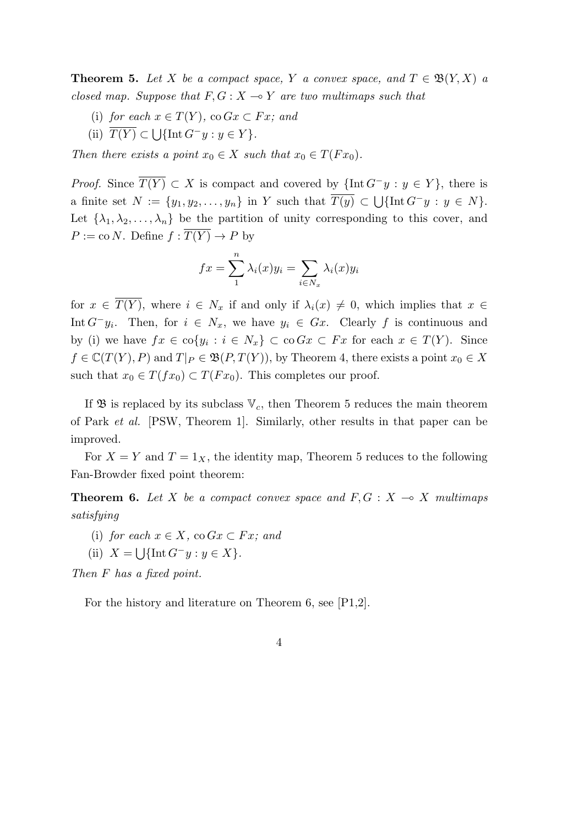**Theorem 5.** Let *X* be a compact space, *Y* a convex space, and  $T \in \mathfrak{B}(Y,X)$  a *closed map. Suppose that*  $F, G: X \rightarrow Y$  *are two multimaps such that* 

- (i) *for each*  $x \in T(Y)$ *,*  $\cos Gx \subset Fx$ *; and*
- $(T(Y) \subset \bigcup \{ \text{Int } G^{-}y : y \in Y \}.$

*Then there exists a point*  $x_0 \in X$  *such that*  $x_0 \in T(Fx_0)$ *.* 

*Proof.* Since  $\overline{T(Y)} \subset X$  is compact and covered by  $\{\text{Int } G^{-}y : y \in Y\}$ , there is a finite set  $N := \{y_1, y_2, \ldots, y_n\}$  in  $Y$  such that  $\overline{T(y)} \subset \bigcup \{\text{Int } G^- y : y \in N\}.$ Let  $\{\lambda_1, \lambda_2, \ldots, \lambda_n\}$  be the partition of unity corresponding to this cover, and  $P := \text{co } N$ . Define  $f : \overline{T(Y)} \to P$  by

$$
fx = \sum_{1}^{n} \lambda_i(x) y_i = \sum_{i \in N_x} \lambda_i(x) y_i
$$

for  $x \in \overline{T(Y)}$ , where  $i \in N_x$  if and only if  $\lambda_i(x) \neq 0$ , which implies that  $x \in$ Int  $G$ <sup>−</sup>y<sub>*i*</sub>. Then, for  $i \in N_x$ , we have  $y_i \in G_x$ . Clearly f is continuous and by (i) we have  $fx \in \text{co}\{y_i : i \in N_x\} \subset \text{co}\,Gx \subset Fx$  for each  $x \in T(Y)$ . Since  $f \in \mathbb{C}(T(Y), P)$  and  $T|_P \in \mathfrak{B}(P, T(Y))$ , by Theorem 4, there exists a point  $x_0 \in X$ such that  $x_0 \in T(fx_0) \subset T(Fx_0)$ . This completes our proof.

If  $\mathfrak{B}$  is replaced by its subclass  $\mathbb{V}_c$ , then Theorem 5 reduces the main theorem of Park *et al.* [PSW, Theorem 1]. Similarly, other results in that paper can be improved.

For  $X = Y$  and  $T = 1_X$ , the identity map, Theorem 5 reduces to the following Fan-Browder fixed point theorem:

**Theorem 6.** Let *X* be a compact convex space and  $F, G: X \rightarrow X$  multimaps *satisfying*

- (i) *for each*  $x \in X$ *, co*  $Gx \subset Fx$ *; and*
- (ii)  $X = \bigcup \{ \text{Int } G^{-}y : y \in X \}.$

*Then F has a fixed point.*

For the history and literature on Theorem 6, see [P1,2].

$$
4\phantom{.0}
$$